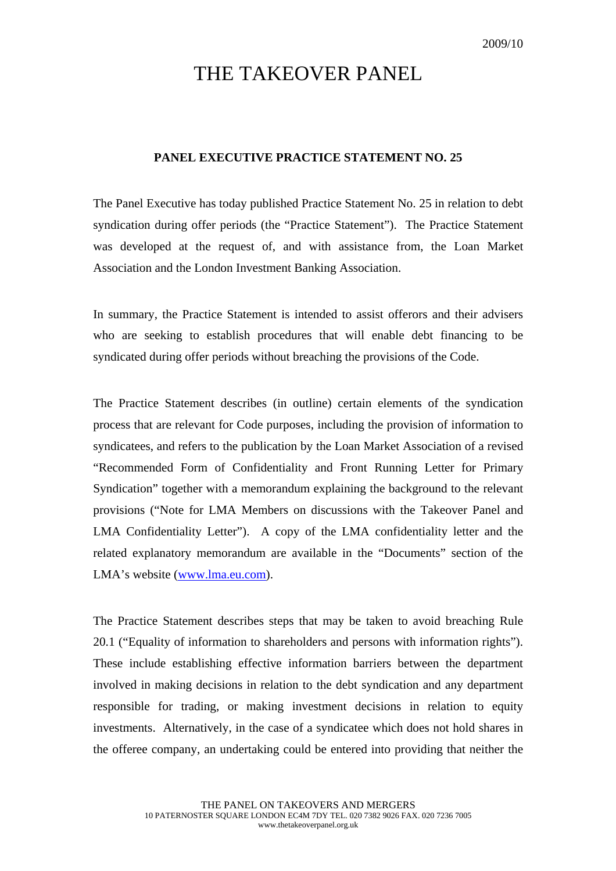## THE TAKEOVER PANEL

## **PANEL EXECUTIVE PRACTICE STATEMENT NO. 25**

The Panel Executive has today published Practice Statement No. 25 in relation to debt syndication during offer periods (the "Practice Statement"). The Practice Statement was developed at the request of, and with assistance from, the Loan Market Association and the London Investment Banking Association.

In summary, the Practice Statement is intended to assist offerors and their advisers who are seeking to establish procedures that will enable debt financing to be syndicated during offer periods without breaching the provisions of the Code.

The Practice Statement describes (in outline) certain elements of the syndication process that are relevant for Code purposes, including the provision of information to syndicatees, and refers to the publication by the Loan Market Association of a revised "Recommended Form of Confidentiality and Front Running Letter for Primary Syndication" together with a memorandum explaining the background to the relevant provisions ("Note for LMA Members on discussions with the Takeover Panel and LMA Confidentiality Letter"). A copy of the LMA confidentiality letter and the related explanatory memorandum are available in the "Documents" section of the LMA's website (www.lma.eu.com).

The Practice Statement describes steps that may be taken to avoid breaching Rule 20.1 ("Equality of information to shareholders and persons with information rights"). These include establishing effective information barriers between the department involved in making decisions in relation to the debt syndication and any department responsible for trading, or making investment decisions in relation to equity investments. Alternatively, in the case of a syndicatee which does not hold shares in the offeree company, an undertaking could be entered into providing that neither the